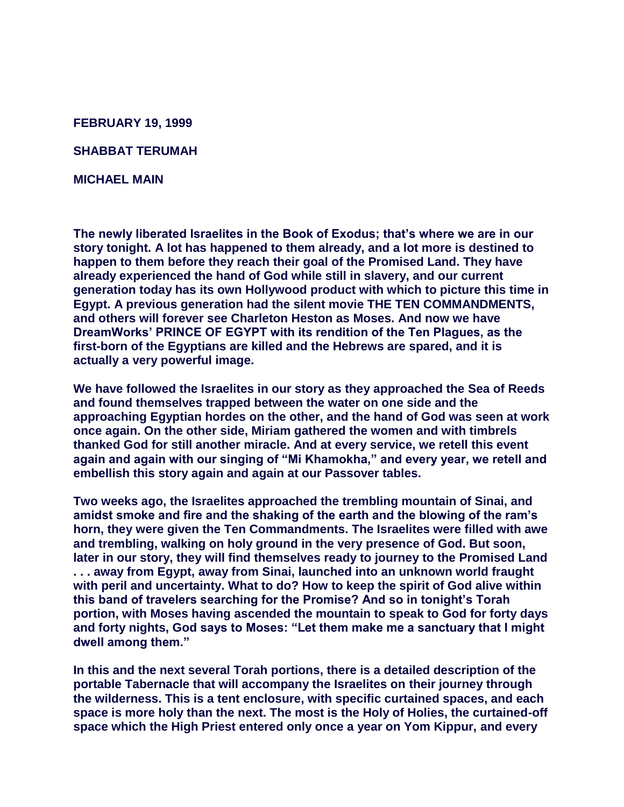**FEBRUARY 19, 1999**

**SHABBAT TERUMAH**

**MICHAEL MAIN**

**The newly liberated Israelites in the Book of Exodus; that's where we are in our story tonight. A lot has happened to them already, and a lot more is destined to happen to them before they reach their goal of the Promised Land. They have already experienced the hand of God while still in slavery, and our current generation today has its own Hollywood product with which to picture this time in Egypt. A previous generation had the silent movie THE TEN COMMANDMENTS, and others will forever see Charleton Heston as Moses. And now we have DreamWorks' PRINCE OF EGYPT with its rendition of the Ten Plagues, as the first-born of the Egyptians are killed and the Hebrews are spared, and it is actually a very powerful image.**

**We have followed the Israelites in our story as they approached the Sea of Reeds and found themselves trapped between the water on one side and the approaching Egyptian hordes on the other, and the hand of God was seen at work once again. On the other side, Miriam gathered the women and with timbrels thanked God for still another miracle. And at every service, we retell this event again and again with our singing of "Mi Khamokha," and every year, we retell and embellish this story again and again at our Passover tables.**

**Two weeks ago, the Israelites approached the trembling mountain of Sinai, and amidst smoke and fire and the shaking of the earth and the blowing of the ram's horn, they were given the Ten Commandments. The Israelites were filled with awe and trembling, walking on holy ground in the very presence of God. But soon, later in our story, they will find themselves ready to journey to the Promised Land . . . away from Egypt, away from Sinai, launched into an unknown world fraught with peril and uncertainty. What to do? How to keep the spirit of God alive within this band of travelers searching for the Promise? And so in tonight's Torah portion, with Moses having ascended the mountain to speak to God for forty days and forty nights, God says to Moses: "Let them make me a sanctuary that I might dwell among them."**

**In this and the next several Torah portions, there is a detailed description of the portable Tabernacle that will accompany the Israelites on their journey through the wilderness. This is a tent enclosure, with specific curtained spaces, and each space is more holy than the next. The most is the Holy of Holies, the curtained-off space which the High Priest entered only once a year on Yom Kippur, and every**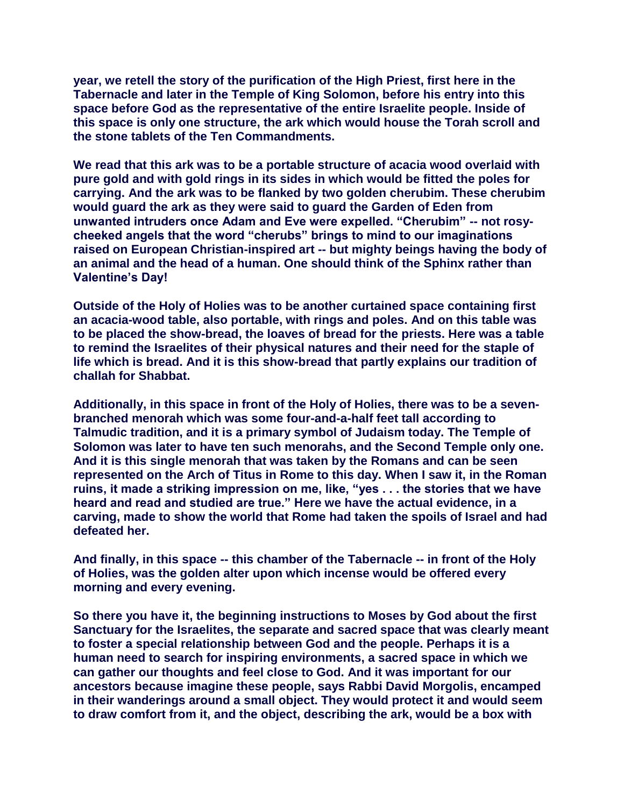**year, we retell the story of the purification of the High Priest, first here in the Tabernacle and later in the Temple of King Solomon, before his entry into this space before God as the representative of the entire Israelite people. Inside of this space is only one structure, the ark which would house the Torah scroll and the stone tablets of the Ten Commandments.**

**We read that this ark was to be a portable structure of acacia wood overlaid with pure gold and with gold rings in its sides in which would be fitted the poles for carrying. And the ark was to be flanked by two golden cherubim. These cherubim would guard the ark as they were said to guard the Garden of Eden from unwanted intruders once Adam and Eve were expelled. "Cherubim" -- not rosycheeked angels that the word "cherubs" brings to mind to our imaginations raised on European Christian-inspired art -- but mighty beings having the body of an animal and the head of a human. One should think of the Sphinx rather than Valentine's Day!**

**Outside of the Holy of Holies was to be another curtained space containing first an acacia-wood table, also portable, with rings and poles. And on this table was to be placed the show-bread, the loaves of bread for the priests. Here was a table to remind the Israelites of their physical natures and their need for the staple of life which is bread. And it is this show-bread that partly explains our tradition of challah for Shabbat.**

**Additionally, in this space in front of the Holy of Holies, there was to be a sevenbranched menorah which was some four-and-a-half feet tall according to Talmudic tradition, and it is a primary symbol of Judaism today. The Temple of Solomon was later to have ten such menorahs, and the Second Temple only one. And it is this single menorah that was taken by the Romans and can be seen represented on the Arch of Titus in Rome to this day. When I saw it, in the Roman ruins, it made a striking impression on me, like, "yes . . . the stories that we have heard and read and studied are true." Here we have the actual evidence, in a carving, made to show the world that Rome had taken the spoils of Israel and had defeated her.**

**And finally, in this space -- this chamber of the Tabernacle -- in front of the Holy of Holies, was the golden alter upon which incense would be offered every morning and every evening.**

**So there you have it, the beginning instructions to Moses by God about the first Sanctuary for the Israelites, the separate and sacred space that was clearly meant to foster a special relationship between God and the people. Perhaps it is a human need to search for inspiring environments, a sacred space in which we can gather our thoughts and feel close to God. And it was important for our ancestors because imagine these people, says Rabbi David Morgolis, encamped in their wanderings around a small object. They would protect it and would seem to draw comfort from it, and the object, describing the ark, would be a box with**